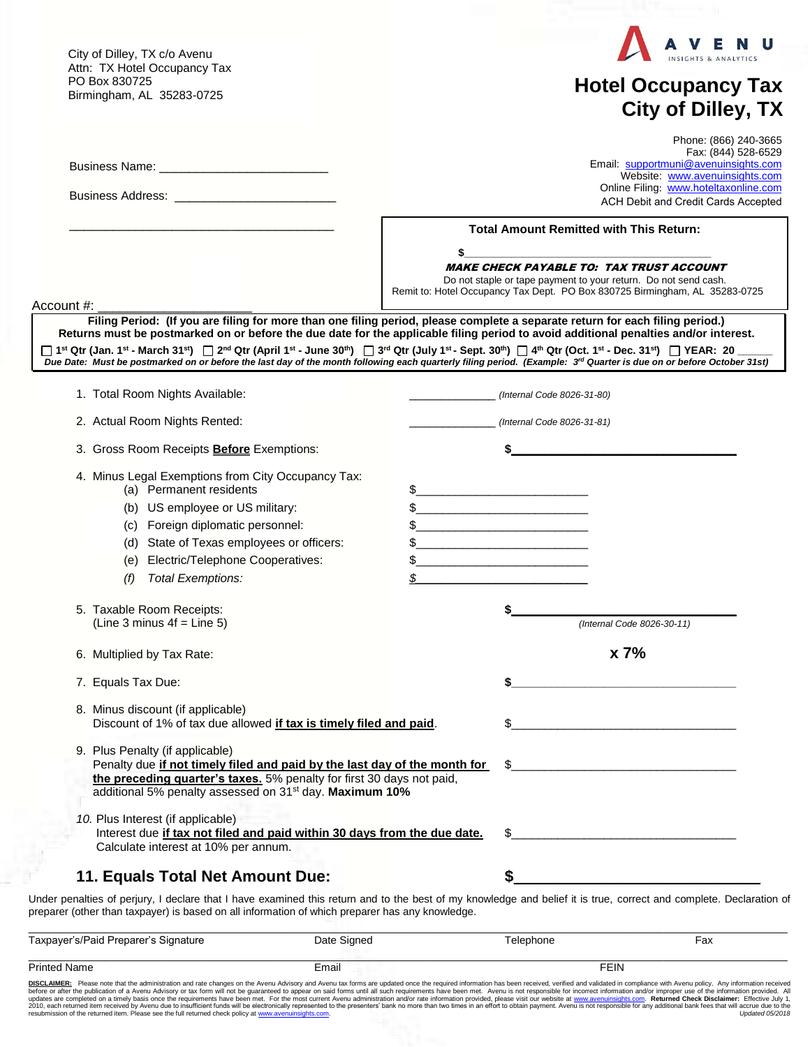City of Dilley, TX c/o Avenu Attn: TX Hotel Occupancy Tax PO Box 830725 Birmingham, AL 35283-0725



## **Hotel Occupancy Tax City of Dilley, TX**

|                                                                                                                                                                                                                                                                               | Phone: (866) 240-3665<br>Fax: (844) 528-6529<br>Email: supportmuni@avenuinsights.com<br>Website: www.avenuinsights.com<br>Online Filing: www.hoteltaxonline.com<br>ACH Debit and Credit Cards Accepted                                                                                                                                                                                                                                                                                                                                                                                           |
|-------------------------------------------------------------------------------------------------------------------------------------------------------------------------------------------------------------------------------------------------------------------------------|--------------------------------------------------------------------------------------------------------------------------------------------------------------------------------------------------------------------------------------------------------------------------------------------------------------------------------------------------------------------------------------------------------------------------------------------------------------------------------------------------------------------------------------------------------------------------------------------------|
| Account #:                                                                                                                                                                                                                                                                    | <b>Total Amount Remitted with This Return:</b><br>\$<br><b>MAKE CHECK PAYABLE TO: TAX TRUST ACCOUNT</b><br>Do not staple or tape payment to your return. Do not send cash.<br>Remit to: Hotel Occupancy Tax Dept. PO Box 830725 Birmingham, AL 35283-0725                                                                                                                                                                                                                                                                                                                                        |
|                                                                                                                                                                                                                                                                               | Filing Period: (If you are filing for more than one filing period, please complete a separate return for each filing period.)<br>Returns must be postmarked on or before the due date for the applicable filing period to avoid additional penalties and/or interest.<br>□ 1st Qtr (Jan. 1st - March 31st) □ 2nd Qtr (April 1st - June 30th) □ 3rd Qtr (July 1st - Sept. 30th) □ 4th Qtr (Oct. 1st - Dec. 31st) □ YEAR: 20<br>Due Date: Must be postmarked on or before the last day of the month following each quarterly filing period. (Example: 3" Quarter is due on or before October 31st) |
| 1. Total Room Nights Available:                                                                                                                                                                                                                                               | (Internal Code 8026-31-80)                                                                                                                                                                                                                                                                                                                                                                                                                                                                                                                                                                       |
| 2. Actual Room Nights Rented:                                                                                                                                                                                                                                                 | (Internal Code 8026-31-81)                                                                                                                                                                                                                                                                                                                                                                                                                                                                                                                                                                       |
| 3. Gross Room Receipts <b>Before</b> Exemptions:                                                                                                                                                                                                                              |                                                                                                                                                                                                                                                                                                                                                                                                                                                                                                                                                                                                  |
| 4. Minus Legal Exemptions from City Occupancy Tax:<br>(a) Permanent residents<br>(b) US employee or US military:<br>(c) Foreign diplomatic personnel:<br>(d) State of Texas employees or officers:<br>(e) Electric/Telephone Cooperatives:<br><b>Total Exemptions:</b><br>(f) | $\frac{1}{2}$<br><u> 1989 - Johann John Stone, mars eta biztanleria (</u><br><u> 1989 - Johann Barn, mars eta bainar eta industrial eta erromania eta erromania eta erromania eta erromania e</u><br>\$<br>\$<br><u> 1950 - Johann Barbara, martin a bhaile an t-</u>                                                                                                                                                                                                                                                                                                                            |
| 5. Taxable Room Receipts:                                                                                                                                                                                                                                                     |                                                                                                                                                                                                                                                                                                                                                                                                                                                                                                                                                                                                  |
| (Line 3 minus $4f =$ Line 5)                                                                                                                                                                                                                                                  | (Internal Code 8026-30-11)                                                                                                                                                                                                                                                                                                                                                                                                                                                                                                                                                                       |
| 6. Multiplied by Tax Rate:                                                                                                                                                                                                                                                    | x 7%                                                                                                                                                                                                                                                                                                                                                                                                                                                                                                                                                                                             |
| 7. Equals Tax Due:                                                                                                                                                                                                                                                            |                                                                                                                                                                                                                                                                                                                                                                                                                                                                                                                                                                                                  |
| 8. Minus discount (if applicable)<br>Discount of 1% of tax due allowed if tax is timely filed and paid.                                                                                                                                                                       | \$                                                                                                                                                                                                                                                                                                                                                                                                                                                                                                                                                                                               |
| 9. Plus Penalty (if applicable)<br>Penalty due if not timely filed and paid by the last day of the month for<br>the preceding quarter's taxes. 5% penalty for first 30 days not paid,<br>additional 5% penalty assessed on 31 <sup>st</sup> day. Maximum 10%                  | S.                                                                                                                                                                                                                                                                                                                                                                                                                                                                                                                                                                                               |
| 10. Plus Interest (if applicable)<br>Interest due if tax not filed and paid within 30 days from the due date.<br>Calculate interest at 10% per annum.                                                                                                                         | \$                                                                                                                                                                                                                                                                                                                                                                                                                                                                                                                                                                                               |
| 11. Equals Total Net Amount Due:                                                                                                                                                                                                                                              |                                                                                                                                                                                                                                                                                                                                                                                                                                                                                                                                                                                                  |
|                                                                                                                                                                                                                                                                               | Jnder penalties of perjury, I declare that I have examined this return and to the best of my knowledge and belief it is true, correct and complete. Declaration o                                                                                                                                                                                                                                                                                                                                                                                                                                |

Under penalties of perjury, I declare that I have examined this return and to the best of my knowledge and belief it is true, correct and complete. Declaration of preparer (other than taxpayer) is based on all information of which preparer has any knowledge.

| Taxpayer's/Paid Preparer's Signature | Date Signed | Telephone   | Fax |
|--------------------------------------|-------------|-------------|-----|
|                                      |             |             |     |
| <b>Printed Name</b>                  | Email       | <b>FEIN</b> |     |
|                                      |             |             |     |

DISCLAIMER: Please note that the administration and rate changes on the Avenu Advisory and Avenu Korms are updated once the required information has been received, verified and validated in compliance with Avenu policine w